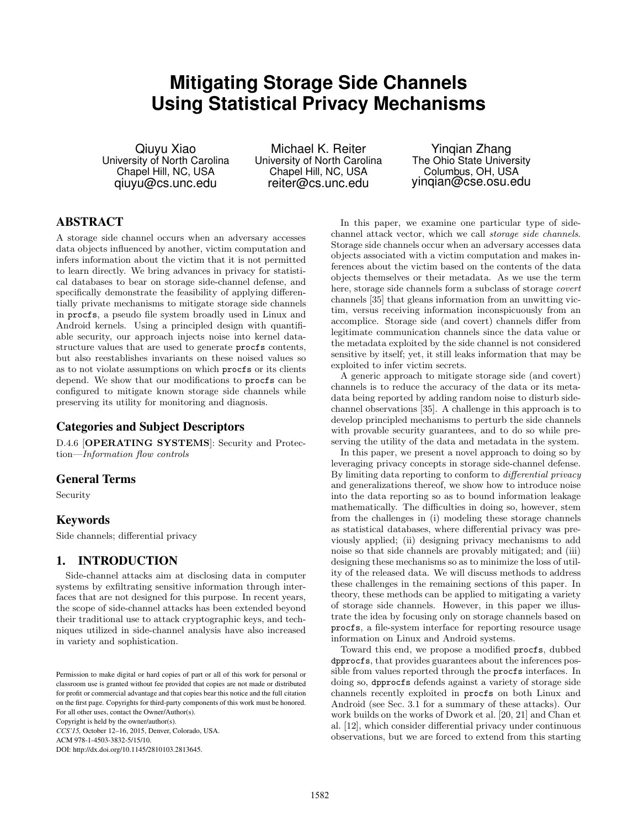# **Mitigating Storage Side Channels Using Statistical Privacy Mechanisms**

Qiuyu Xiao University of North Carolina Chapel Hill, NC, USA qiuyu@cs.unc.edu

Michael K. Reiter University of North Carolina Chapel Hill, NC, USA reiter@cs.unc.edu

Yinqian Zhang The Ohio State University Columbus, OH, USA yinqian@cse.osu.edu

# ABSTRACT

A storage side channel occurs when an adversary accesses data objects influenced by another, victim computation and infers information about the victim that it is not permitted to learn directly. We bring advances in privacy for statistical databases to bear on storage side-channel defense, and specifically demonstrate the feasibility of applying differentially private mechanisms to mitigate storage side channels in procfs, a pseudo file system broadly used in Linux and Android kernels. Using a principled design with quantifiable security, our approach injects noise into kernel datastructure values that are used to generate procfs contents, but also reestablishes invariants on these noised values so as to not violate assumptions on which procfs or its clients depend. We show that our modifications to procfs can be configured to mitigate known storage side channels while preserving its utility for monitoring and diagnosis.

# Categories and Subject Descriptors

D.4.6 [OPERATING SYSTEMS]: Security and Protection—Information flow controls

# General Terms

Security

#### Keywords

Side channels; differential privacy

# 1. INTRODUCTION

Side-channel attacks aim at disclosing data in computer systems by exfiltrating sensitive information through interfaces that are not designed for this purpose. In recent years, the scope of side-channel attacks has been extended beyond their traditional use to attack cryptographic keys, and techniques utilized in side-channel analysis have also increased in variety and sophistication.

*CCS'15,* October 12–16, 2015, Denver, Colorado, USA.

ACM 978-1-4503-3832-5/15/10.

DOI: http://dx.doi.org/10.1145/2810103.2813645.

In this paper, we examine one particular type of sidechannel attack vector, which we call storage side channels. Storage side channels occur when an adversary accesses data objects associated with a victim computation and makes inferences about the victim based on the contents of the data objects themselves or their metadata. As we use the term here, storage side channels form a subclass of storage covert channels [35] that gleans information from an unwitting victim, versus receiving information inconspicuously from an accomplice. Storage side (and covert) channels differ from legitimate communication channels since the data value or the metadata exploited by the side channel is not considered sensitive by itself; yet, it still leaks information that may be exploited to infer victim secrets.

A generic approach to mitigate storage side (and covert) channels is to reduce the accuracy of the data or its metadata being reported by adding random noise to disturb sidechannel observations [35]. A challenge in this approach is to develop principled mechanisms to perturb the side channels with provable security guarantees, and to do so while preserving the utility of the data and metadata in the system.

In this paper, we present a novel approach to doing so by leveraging privacy concepts in storage side-channel defense. By limiting data reporting to conform to differential privacy and generalizations thereof, we show how to introduce noise into the data reporting so as to bound information leakage mathematically. The difficulties in doing so, however, stem from the challenges in (i) modeling these storage channels as statistical databases, where differential privacy was previously applied; (ii) designing privacy mechanisms to add noise so that side channels are provably mitigated; and (iii) designing these mechanisms so as to minimize the loss of utility of the released data. We will discuss methods to address these challenges in the remaining sections of this paper. In theory, these methods can be applied to mitigating a variety of storage side channels. However, in this paper we illustrate the idea by focusing only on storage channels based on procfs, a file-system interface for reporting resource usage information on Linux and Android systems.

Toward this end, we propose a modified procfs, dubbed dpprocfs, that provides guarantees about the inferences possible from values reported through the procfs interfaces. In doing so, dpprocfs defends against a variety of storage side channels recently exploited in procfs on both Linux and Android (see Sec. 3.1 for a summary of these attacks). Our work builds on the works of Dwork et al. [20, 21] and Chan et al. [12], which consider differential privacy under continuous observations, but we are forced to extend from this starting

Permission to make digital or hard copies of part or all of this work for personal or classroom use is granted without fee provided that copies are not made or distributed for profit or commercial advantage and that copies bear this notice and the full citation on the first page. Copyrights for third-party components of this work must be honored. For all other uses, contact the Owner/Author(s). Copyright is held by the owner/author(s).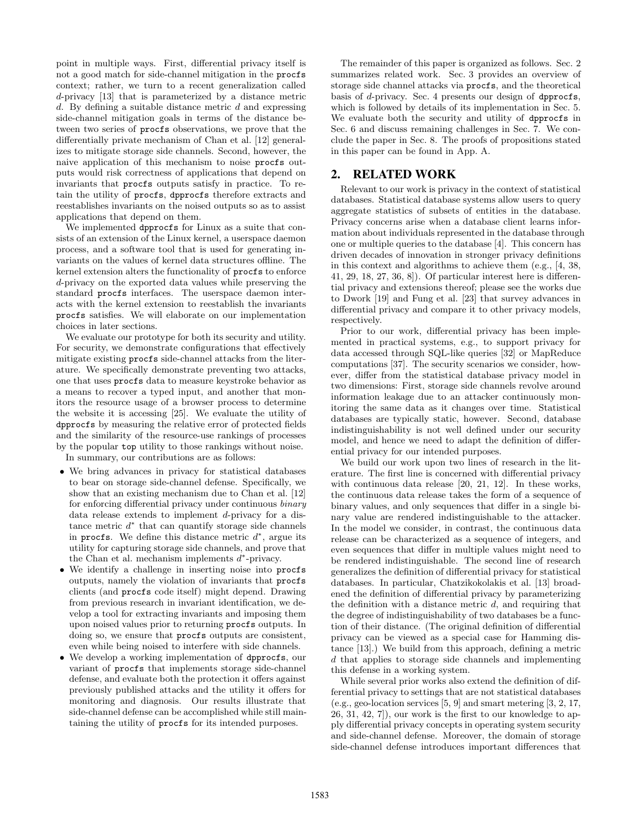point in multiple ways. First, differential privacy itself is not a good match for side-channel mitigation in the procfs context; rather, we turn to a recent generalization called d-privacy [13] that is parameterized by a distance metric d. By defining a suitable distance metric  $d$  and expressing side-channel mitigation goals in terms of the distance between two series of procfs observations, we prove that the differentially private mechanism of Chan et al. [12] generalizes to mitigate storage side channels. Second, however, the naive application of this mechanism to noise procfs outputs would risk correctness of applications that depend on invariants that procfs outputs satisfy in practice. To retain the utility of procfs, dpprocfs therefore extracts and reestablishes invariants on the noised outputs so as to assist applications that depend on them.

We implemented dpprocfs for Linux as a suite that consists of an extension of the Linux kernel, a userspace daemon process, and a software tool that is used for generating invariants on the values of kernel data structures offline. The kernel extension alters the functionality of procfs to enforce d-privacy on the exported data values while preserving the standard procfs interfaces. The userspace daemon interacts with the kernel extension to reestablish the invariants procfs satisfies. We will elaborate on our implementation choices in later sections.

We evaluate our prototype for both its security and utility. For security, we demonstrate configurations that effectively mitigate existing procfs side-channel attacks from the literature. We specifically demonstrate preventing two attacks, one that uses procfs data to measure keystroke behavior as a means to recover a typed input, and another that monitors the resource usage of a browser process to determine the website it is accessing [25]. We evaluate the utility of dpprocfs by measuring the relative error of protected fields and the similarity of the resource-use rankings of processes by the popular top utility to those rankings without noise.

In summary, our contributions are as follows:

- We bring advances in privacy for statistical databases to bear on storage side-channel defense. Specifically, we show that an existing mechanism due to Chan et al. [12] for enforcing differential privacy under continuous binary data release extends to implement d-privacy for a distance metric  $d^*$  that can quantify storage side channels in procfs. We define this distance metric  $d^*$ , argue its utility for capturing storage side channels, and prove that the Chan et al. mechanism implements  $d^*$ -privacy.
- We identify a challenge in inserting noise into procfs outputs, namely the violation of invariants that procfs clients (and procfs code itself) might depend. Drawing from previous research in invariant identification, we develop a tool for extracting invariants and imposing them upon noised values prior to returning procfs outputs. In doing so, we ensure that procfs outputs are consistent, even while being noised to interfere with side channels.
- We develop a working implementation of dpprocfs, our variant of procfs that implements storage side-channel defense, and evaluate both the protection it offers against previously published attacks and the utility it offers for monitoring and diagnosis. Our results illustrate that side-channel defense can be accomplished while still maintaining the utility of procfs for its intended purposes.

The remainder of this paper is organized as follows. Sec. 2 summarizes related work. Sec. 3 provides an overview of storage side channel attacks via procfs, and the theoretical basis of d-privacy. Sec. 4 presents our design of dpprocfs, which is followed by details of its implementation in Sec. 5. We evaluate both the security and utility of dpprocfs in Sec. 6 and discuss remaining challenges in Sec. 7. We conclude the paper in Sec. 8. The proofs of propositions stated in this paper can be found in App. A.

# 2. RELATED WORK

Relevant to our work is privacy in the context of statistical databases. Statistical database systems allow users to query aggregate statistics of subsets of entities in the database. Privacy concerns arise when a database client learns information about individuals represented in the database through one or multiple queries to the database [4]. This concern has driven decades of innovation in stronger privacy definitions in this context and algorithms to achieve them (e.g., [4, 38, 41, 29, 18, 27, 36, 8]). Of particular interest here is differential privacy and extensions thereof; please see the works due to Dwork [19] and Fung et al. [23] that survey advances in differential privacy and compare it to other privacy models, respectively.

Prior to our work, differential privacy has been implemented in practical systems, e.g., to support privacy for data accessed through SQL-like queries [32] or MapReduce computations [37]. The security scenarios we consider, however, differ from the statistical database privacy model in two dimensions: First, storage side channels revolve around information leakage due to an attacker continuously monitoring the same data as it changes over time. Statistical databases are typically static, however. Second, database indistinguishability is not well defined under our security model, and hence we need to adapt the definition of differential privacy for our intended purposes.

We build our work upon two lines of research in the literature. The first line is concerned with differential privacy with continuous data release [20, 21, 12]. In these works, the continuous data release takes the form of a sequence of binary values, and only sequences that differ in a single binary value are rendered indistinguishable to the attacker. In the model we consider, in contrast, the continuous data release can be characterized as a sequence of integers, and even sequences that differ in multiple values might need to be rendered indistinguishable. The second line of research generalizes the definition of differential privacy for statistical databases. In particular, Chatzikokolakis et al. [13] broadened the definition of differential privacy by parameterizing the definition with a distance metric  $d$ , and requiring that the degree of indistinguishability of two databases be a function of their distance. (The original definition of differential privacy can be viewed as a special case for Hamming distance [13].) We build from this approach, defining a metric d that applies to storage side channels and implementing this defense in a working system.

While several prior works also extend the definition of differential privacy to settings that are not statistical databases (e.g., geo-location services [5, 9] and smart metering [3, 2, 17, 26, 31, 42, 7]), our work is the first to our knowledge to apply differential privacy concepts in operating system security and side-channel defense. Moreover, the domain of storage side-channel defense introduces important differences that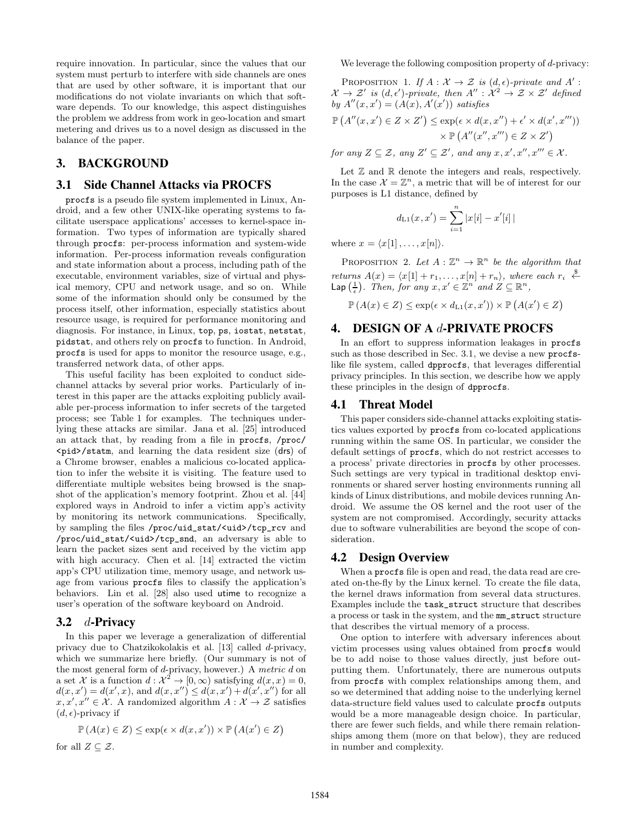require innovation. In particular, since the values that our system must perturb to interfere with side channels are ones that are used by other software, it is important that our modifications do not violate invariants on which that software depends. To our knowledge, this aspect distinguishes the problem we address from work in geo-location and smart metering and drives us to a novel design as discussed in the balance of the paper.

# 3. BACKGROUND

#### 3.1 Side Channel Attacks via PROCFS

procfs is a pseudo file system implemented in Linux, Android, and a few other UNIX-like operating systems to facilitate userspace applications' accesses to kernel-space information. Two types of information are typically shared through procfs: per-process information and system-wide information. Per-process information reveals configuration and state information about a process, including path of the executable, environment variables, size of virtual and physical memory, CPU and network usage, and so on. While some of the information should only be consumed by the process itself, other information, especially statistics about resource usage, is required for performance monitoring and diagnosis. For instance, in Linux, top, ps, iostat, netstat, pidstat, and others rely on procfs to function. In Android, procfs is used for apps to monitor the resource usage, e.g., transferred network data, of other apps.

This useful facility has been exploited to conduct sidechannel attacks by several prior works. Particularly of interest in this paper are the attacks exploiting publicly available per-process information to infer secrets of the targeted process; see Table 1 for examples. The techniques underlying these attacks are similar. Jana et al. [25] introduced an attack that, by reading from a file in procfs, /proc/ <pid>/statm, and learning the data resident size (drs) of a Chrome browser, enables a malicious co-located application to infer the website it is visiting. The feature used to differentiate multiple websites being browsed is the snapshot of the application's memory footprint. Zhou et al. [44] explored ways in Android to infer a victim app's activity by monitoring its network communications. Specifically, by sampling the files /proc/uid\_stat/<uid>/tcp\_rcv and /proc/uid\_stat/<uid>/tcp\_snd, an adversary is able to learn the packet sizes sent and received by the victim app with high accuracy. Chen et al. [14] extracted the victim app's CPU utilization time, memory usage, and network usage from various procfs files to classify the application's behaviors. Lin et al. [28] also used utime to recognize a user's operation of the software keyboard on Android.

#### 3.2  $d$ -Privacy

In this paper we leverage a generalization of differential privacy due to Chatzikokolakis et al. [13] called d-privacy, which we summarize here briefly. (Our summary is not of the most general form of d-privacy, however.) A metric d on a set X is a function  $d: \mathcal{X}^2 \to [0, \infty)$  satisfying  $d(x, x) = 0$ ,  $d(x, x') = d(x', x)$ , and  $d(x, x'') \leq d(x, x') + d(x', x'')$  for all  $x, x', x'' \in \mathcal{X}$ . A randomized algorithm  $A: \mathcal{X} \to \mathcal{Z}$  satisfies  $(d, \epsilon)$ -privacy if

$$
\mathbb{P}\left(A(x) \in Z\right) \le \exp(\epsilon \times d(x, x')) \times \mathbb{P}\left(A(x') \in Z\right)
$$

for all  $Z \subseteq \mathcal{Z}$ .

We leverage the following composition property of d-privacy:

PROPOSITION 1. If  $A: \mathcal{X} \to \mathcal{Z}$  is  $(d, \epsilon)$ -private and A':  $\mathcal{X} \to \mathcal{Z}'$  is  $(d, \epsilon')$ -private, then  $A'' : \mathcal{X}^2 \to \mathcal{Z} \times \mathcal{Z}'$  defined by  $A''(x, x') = (A(x), A'(x'))$  satisfies

$$
\mathbb{P}\left(A''(x,x')\in Z\times Z'\right)\leq \exp(\epsilon\times d(x,x'')+\epsilon'\times d(x',x'''))
$$

$$
\times\mathbb{P}\left(A''(x'',x''')\in Z\times Z'\right)
$$

for any  $Z \subseteq \mathcal{Z}$ , any  $Z' \subseteq \mathcal{Z}'$ , and any  $x, x', x'', x''' \in \mathcal{X}$ .

Let  $\mathbb Z$  and  $\mathbb R$  denote the integers and reals, respectively. In the case  $\mathcal{X} = \mathbb{Z}^n$ , a metric that will be of interest for our purposes is L1 distance, defined by

$$
d_{\text{L1}}(x, x') = \sum_{i=1}^{n} |x[i] - x'[i]|
$$

where  $x = \langle x[1], \ldots, x[n]\rangle$ .

PROPOSITION 2. Let  $A: \mathbb{Z}^n \to \mathbb{R}^n$  be the algorithm that returns  $A(x) = \langle x[1] + r_1, \ldots, x[n] + r_n \rangle$ , where each  $r_i \stackrel{\$}{\leftarrow}$ Lap  $\left(\frac{1}{\epsilon}\right)$ . Then, for any  $x, x' \in \mathbb{Z}^n$  and  $Z \subseteq \mathbb{R}^n$ ,

$$
\mathbb{P}\left(A(x) \in Z\right) \le \exp\left(\epsilon \times d_{\text{L1}}(x, x')\right) \times \mathbb{P}\left(A(x') \in Z\right)
$$

# 4. DESIGN OF A d-PRIVATE PROCFS

In an effort to suppress information leakages in procfs such as those described in Sec. 3.1, we devise a new procfslike file system, called dpprocfs, that leverages differential privacy principles. In this section, we describe how we apply these principles in the design of dpprocfs.

#### 4.1 Threat Model

This paper considers side-channel attacks exploiting statistics values exported by procfs from co-located applications running within the same OS. In particular, we consider the default settings of procfs, which do not restrict accesses to a process' private directories in procfs by other processes. Such settings are very typical in traditional desktop environments or shared server hosting environments running all kinds of Linux distributions, and mobile devices running Android. We assume the OS kernel and the root user of the system are not compromised. Accordingly, security attacks due to software vulnerabilities are beyond the scope of consideration.

### 4.2 Design Overview

When a procfs file is open and read, the data read are created on-the-fly by the Linux kernel. To create the file data, the kernel draws information from several data structures. Examples include the task\_struct structure that describes a process or task in the system, and the mm\_struct structure that describes the virtual memory of a process.

One option to interfere with adversary inferences about victim processes using values obtained from procfs would be to add noise to those values directly, just before outputting them. Unfortunately, there are numerous outputs from procfs with complex relationships among them, and so we determined that adding noise to the underlying kernel data-structure field values used to calculate procfs outputs would be a more manageable design choice. In particular, there are fewer such fields, and while there remain relationships among them (more on that below), they are reduced in number and complexity.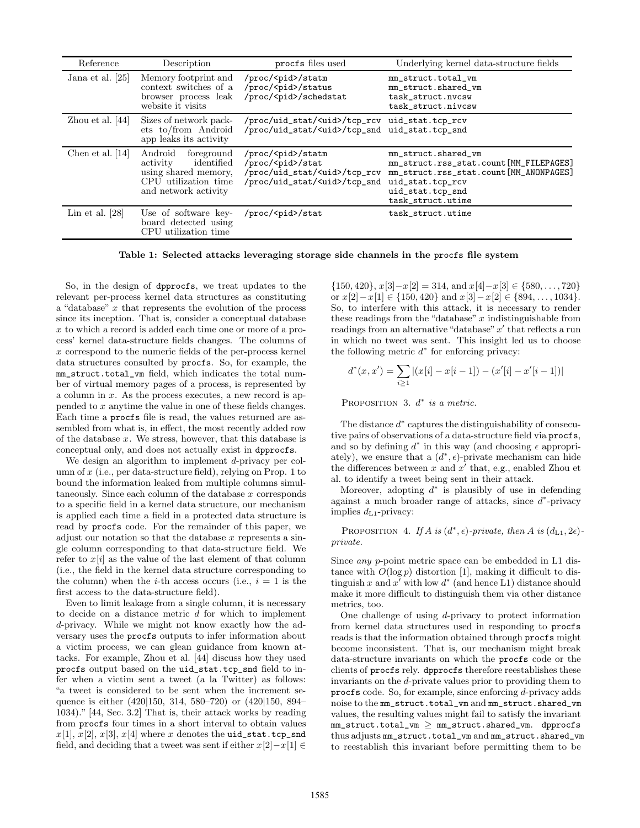| Reference          | Description                                                                                                             | procfs files used                                                                                                                 | Underlying kernel data-structure fields                                                                                                                              |
|--------------------|-------------------------------------------------------------------------------------------------------------------------|-----------------------------------------------------------------------------------------------------------------------------------|----------------------------------------------------------------------------------------------------------------------------------------------------------------------|
| Jana et al. [25]   | Memory footprint and<br>context switches of a<br>browser process leak<br>website it visits                              | /proc/ <pid>/statm<br/>/proc/<pid>/status<br/>/proc/<pid>/schedstat</pid></pid></pid>                                             | mm_struct.total_vm<br>mm_struct.shared_vm<br>task_struct.nvcsw<br>task_struct.nivcsw                                                                                 |
| Zhou et al. $[44]$ | Sizes of network pack-<br>ets to/from Android<br>app leaks its activity                                                 | /proc/uid_stat/ <uid>/tcp_rcv<br/>/proc/uid_stat/<uid>/tcp_snd uid_stat.tcp_snd</uid></uid>                                       | uid_stat.tcp_rcv                                                                                                                                                     |
| Chen et al. $[14]$ | Android<br>foreground<br>identified<br>activity<br>using shared memory,<br>CPU utilization time<br>and network activity | /proc/ <pid>/statm<br/>/proc/<pid>/stat<br/>/proc/uid_stat/<uid>/tcp_rcv<br/>/proc/uid_stat/<uid>/tcp_snd</uid></uid></pid></pid> | mm_struct.shared_vm<br>mm_struct.rss_stat.count[MM_FILEPAGES]<br>mm_struct.rss_stat.count[MM_ANONPAGES]<br>uid_stat.tcp_rcv<br>uid_stat.tcp_snd<br>task_struct.utime |
| Lin et al. $[28]$  | Use of software key-<br>board detected using<br>CPU utilization time                                                    | /proc/ <pid>/stat</pid>                                                                                                           | task_struct.utime                                                                                                                                                    |

Table 1: Selected attacks leveraging storage side channels in the procfs file system

So, in the design of dpprocfs, we treat updates to the relevant per-process kernel data structures as constituting a "database"  $x$  that represents the evolution of the process since its inception. That is, consider a conceptual database x to which a record is added each time one or more of a process' kernel data-structure fields changes. The columns of x correspond to the numeric fields of the per-process kernel data structures consulted by procfs. So, for example, the mm\_struct.total\_vm field, which indicates the total number of virtual memory pages of a process, is represented by a column in  $x$ . As the process executes, a new record is appended to x anytime the value in one of these fields changes. Each time a procfs file is read, the values returned are assembled from what is, in effect, the most recently added row of the database  $x$ . We stress, however, that this database is conceptual only, and does not actually exist in dpprocfs.

We design an algorithm to implement d-privacy per column of  $x$  (i.e., per data-structure field), relying on Prop. 1 to bound the information leaked from multiple columns simultaneously. Since each column of the database  $x$  corresponds to a specific field in a kernel data structure, our mechanism is applied each time a field in a protected data structure is read by procfs code. For the remainder of this paper, we adjust our notation so that the database  $x$  represents a single column corresponding to that data-structure field. We refer to  $x[i]$  as the value of the last element of that column (i.e., the field in the kernel data structure corresponding to the column) when the *i*-th access occurs (i.e.,  $i = 1$  is the first access to the data-structure field).

Even to limit leakage from a single column, it is necessary to decide on a distance metric  $d$  for which to implement d-privacy. While we might not know exactly how the adversary uses the procfs outputs to infer information about a victim process, we can glean guidance from known attacks. For example, Zhou et al. [44] discuss how they used procfs output based on the uid\_stat.tcp\_snd field to infer when a victim sent a tweet (a la Twitter) as follows: "a tweet is considered to be sent when the increment sequence is either (420|150, 314, 580–720) or (420|150, 894– 1034)." [44, Sec. 3.2] That is, their attack works by reading from procfs four times in a short interval to obtain values  $x[1], x[2], x[3], x[4]$  where x denotes the uid\_stat.tcp\_snd field, and deciding that a tweet was sent if either  $x[2]-x[1] \in$ 

 $\{150, 420\}, x[3]-x[2] = 314, \text{ and } x[4]-x[3] \in \{580, \ldots, 720\}$ or  $x[2]-x[1] \in \{150, 420\}$  and  $x[3]-x[2] \in \{894, \ldots, 1034\}.$ So, to interfere with this attack, it is necessary to render these readings from the "database"  $x$  indistinguishable from readings from an alternative "database"  $x'$  that reflects a run in which no tweet was sent. This insight led us to choose the following metric  $d^*$  for enforcing privacy:

$$
d^*(x, x') = \sum_{i \ge 1} |(x[i] - x[i-1]) - (x'[i] - x'[i-1])|
$$

PROPOSITION 3.  $d^*$  is a metric.

The distance  $d^*$  captures the distinguishability of consecutive pairs of observations of a data-structure field via procfs, and so by defining  $d^*$  in this way (and choosing  $\epsilon$  appropriately), we ensure that a  $(d^*, \epsilon)$ -private mechanism can hide the differences between x and  $x'$  that, e.g., enabled Zhou et al. to identify a tweet being sent in their attack.

Moreover, adopting  $d^*$  is plausibly of use in defending against a much broader range of attacks, since  $d^*$ -privacy implies  $d_{L1}$ -privacy:

PROPOSITION 4. If A is  $(d^*, \epsilon)$ -private, then A is  $(d_{L1}, 2\epsilon)$ private.

Since any p-point metric space can be embedded in L1 distance with  $O(\log p)$  distortion [1], making it difficult to distinguish x and  $x'$  with low  $d^*$  (and hence L1) distance should make it more difficult to distinguish them via other distance metrics, too.

One challenge of using d-privacy to protect information from kernel data structures used in responding to procfs reads is that the information obtained through procfs might become inconsistent. That is, our mechanism might break data-structure invariants on which the procfs code or the clients of procfs rely. dpprocfs therefore reestablishes these invariants on the d-private values prior to providing them to procfs code. So, for example, since enforcing d-privacy adds noise to the mm\_struct.total\_vm and mm\_struct.shared\_vm values, the resulting values might fail to satisfy the invariant  $mm\_struct.total\_vm$   $\geq$   $mm\_struct.shard\_vm.$  dpprocfs thus adjusts mm\_struct.total\_vm and mm\_struct.shared\_vm to reestablish this invariant before permitting them to be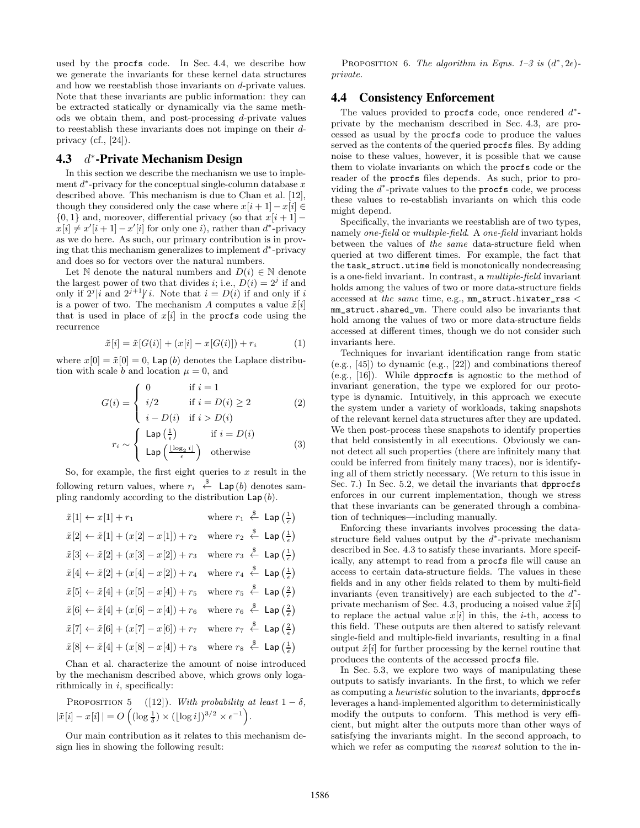used by the procfs code. In Sec. 4.4, we describe how we generate the invariants for these kernel data structures and how we reestablish those invariants on d-private values. Note that these invariants are public information: they can be extracted statically or dynamically via the same methods we obtain them, and post-processing d-private values to reestablish these invariants does not impinge on their dprivacy (cf.,  $[24]$ ).

#### $4.3$ ∗ -Private Mechanism Design

In this section we describe the mechanism we use to implement  $d^*$ -privacy for the conceptual single-column database  $x$ described above. This mechanism is due to Chan et al. [12], though they considered only the case where  $x[i + 1] - x[i] \in$  $\{0, 1\}$  and, moreover, differential privacy (so that  $x[i + 1]$  –  $x[i] \neq x'[i+1] - x'[i]$  for only one i), rather than  $d^*$ -privacy as we do here. As such, our primary contribution is in proving that this mechanism generalizes to implement  $d^*$ -privacy and does so for vectors over the natural numbers.

Let N denote the natural numbers and  $D(i) \in \mathbb{N}$  denote the largest power of two that divides *i*; i.e.,  $D(i) = 2<sup>j</sup>$  if and only if  $2^{j} | i$  and  $2^{j+1} | i$ . Note that  $i = D(i)$  if and only if i is a power of two. The mechanism A computes a value  $\tilde{x}[i]$ that is used in place of  $x[i]$  in the procfs code using the recurrence

$$
\tilde{x}[i] = \tilde{x}[G(i)] + (x[i] - x[G(i)]) + r_i \tag{1}
$$

where  $x[0] = \tilde{x}[0] = 0$ , Lap (b) denotes the Laplace distribution with scale b and location  $\mu = 0$ , and

$$
G(i) = \begin{cases} 0 & \text{if } i = 1\\ i/2 & \text{if } i = D(i) \ge 2\\ i - D(i) & \text{if } i > D(i) \end{cases}
$$
 (2)

$$
r_i \sim \begin{cases} \text{Lap}\left(\frac{1}{\epsilon}\right) & \text{if } i = D(i) \\ \text{Lap}\left(\frac{\lfloor \log_2 i \rfloor}{\epsilon}\right) & \text{otherwise} \end{cases}
$$
 (3)

So, for example, the first eight queries to  $x$  result in the following return values, where  $r_i \stackrel{\$}{\leftarrow}$  Lap(b) denotes sampling randomly according to the distribution  $\textsf{Lap}(b)$ .

| $\tilde{x}[1] \leftarrow x[1] + r_1$                                                                                                     | where $r_1 \stackrel{\$}{\leftarrow}$ Lap $\left(\frac{1}{\epsilon}\right)$ |
|------------------------------------------------------------------------------------------------------------------------------------------|-----------------------------------------------------------------------------|
| $\tilde{x}[2] \leftarrow \tilde{x}[1] + (x[2] - x[1]) + r_2$                                                                             | where $r_2 \overset{\$}{\leftarrow}$ Lap $\left(\frac{1}{\epsilon}\right)$  |
| $\tilde{x}[3] \leftarrow \tilde{x}[2] + (x[3] - x[2]) + r_3$                                                                             | where $r_3 \stackrel{\$}{\leftarrow}$ Lap $\left(\frac{1}{\epsilon}\right)$ |
| $\tilde{x}[4] \leftarrow \tilde{x}[2] + (x[4] - x[2]) + r_4$                                                                             | where $r_4 \stackrel{\$}{\leftarrow}$ Lap $\left(\frac{1}{\epsilon}\right)$ |
| $\tilde{x}[5] \leftarrow \tilde{x}[4] + (x[5] - x[4]) + r_5$                                                                             | where $r_5 \stackrel{\$}{\leftarrow}$ Lap $\left(\frac{2}{\epsilon}\right)$ |
| $\tilde{x}[6] \leftarrow \tilde{x}[4] + (x[6] - x[4]) + r_6$                                                                             | where $r_6 \stackrel{\$}{\leftarrow}$ Lap $\left(\frac{2}{e}\right)$        |
| $\tilde{x}[7] \leftarrow \tilde{x}[6] + (x[7] - x[6]) + r_7$                                                                             | where $r_7 \stackrel{\$}{\leftarrow}$ Lap $\left(\frac{2}{\epsilon}\right)$ |
| $\tilde{x}[8] \leftarrow \tilde{x}[4] + (x[8] - x[4]) + r_8$ where $r_8 \stackrel{\$}{\leftarrow}$ Lap $\left(\frac{1}{\epsilon}\right)$ |                                                                             |
|                                                                                                                                          |                                                                             |

Chan et al. characterize the amount of noise introduced by the mechanism described above, which grows only logarithmically in  $i$ , specifically:

PROPOSITION 5 ([12]). With probability at least 
$$
1 - \delta
$$
,  $|\tilde{x}[i] - x[i]| = O\left((\log \frac{1}{\delta}) \times (\lfloor \log i \rfloor)^{3/2} \times \epsilon^{-1}\right)$ .

Our main contribution as it relates to this mechanism design lies in showing the following result:

PROPOSITION 6. The algorithm in Eqns. 1–3 is  $(d^*, 2\epsilon)$ private.

### 4.4 Consistency Enforcement

The values provided to procfs code, once rendered  $d^*$ private by the mechanism described in Sec. 4.3, are processed as usual by the procfs code to produce the values served as the contents of the queried procfs files. By adding noise to these values, however, it is possible that we cause them to violate invariants on which the procfs code or the reader of the procfs files depends. As such, prior to providing the  $d^*$ -private values to the procfs code, we process these values to re-establish invariants on which this code might depend.

Specifically, the invariants we reestablish are of two types, namely one-field or multiple-field. A one-field invariant holds between the values of the same data-structure field when queried at two different times. For example, the fact that the task\_struct.utime field is monotonically nondecreasing is a one-field invariant. In contrast, a multiple-field invariant holds among the values of two or more data-structure fields accessed at the same time, e.g.,  $mm\_struct.hivater\_rss <$ mm\_struct.shared\_vm. There could also be invariants that hold among the values of two or more data-structure fields accessed at different times, though we do not consider such invariants here.

Techniques for invariant identification range from static (e.g., [45]) to dynamic (e.g., [22]) and combinations thereof (e.g., [16]). While dpprocfs is agnostic to the method of invariant generation, the type we explored for our prototype is dynamic. Intuitively, in this approach we execute the system under a variety of workloads, taking snapshots of the relevant kernel data structures after they are updated. We then post-process these snapshots to identify properties that held consistently in all executions. Obviously we cannot detect all such properties (there are infinitely many that could be inferred from finitely many traces), nor is identifying all of them strictly necessary. (We return to this issue in Sec. 7.) In Sec. 5.2, we detail the invariants that dpprocfs enforces in our current implementation, though we stress that these invariants can be generated through a combination of techniques—including manually.

Enforcing these invariants involves processing the datastructure field values output by the  $d^*$ -private mechanism described in Sec. 4.3 to satisfy these invariants. More specifically, any attempt to read from a procfs file will cause an access to certain data-structure fields. The values in these fields and in any other fields related to them by multi-field invariants (even transitively) are each subjected to the  $d^*$ private mechanism of Sec. 4.3, producing a noised value  $\tilde{x}[i]$ to replace the actual value  $x[i]$  in this, the *i*-th, access to this field. These outputs are then altered to satisfy relevant single-field and multiple-field invariants, resulting in a final output  $\hat{x}[i]$  for further processing by the kernel routine that produces the contents of the accessed procfs file.

In Sec. 5.3, we explore two ways of manipulating these outputs to satisfy invariants. In the first, to which we refer as computing a heuristic solution to the invariants, dpprocfs leverages a hand-implemented algorithm to deterministically modify the outputs to conform. This method is very efficient, but might alter the outputs more than other ways of satisfying the invariants might. In the second approach, to which we refer as computing the *nearest* solution to the in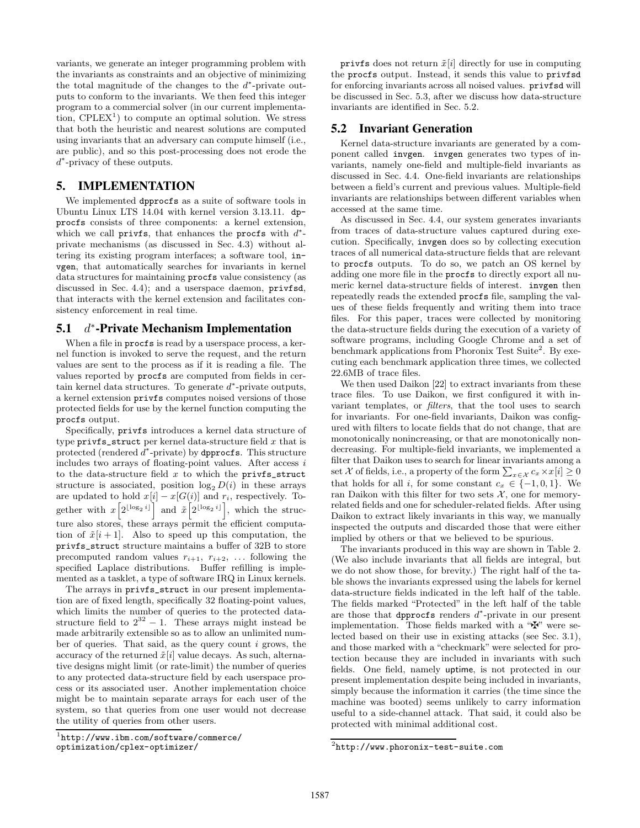variants, we generate an integer programming problem with the invariants as constraints and an objective of minimizing the total magnitude of the changes to the  $d^*$ -private outputs to conform to the invariants. We then feed this integer program to a commercial solver (in our current implementation,  $\text{CPLEX}^1$  to compute an optimal solution. We stress that both the heuristic and nearest solutions are computed using invariants that an adversary can compute himself (i.e., are public), and so this post-processing does not erode the d ∗ -privacy of these outputs.

# 5. IMPLEMENTATION

We implemented dpprocfs as a suite of software tools in Ubuntu Linux LTS 14.04 with kernel version 3.13.11. dpprocfs consists of three components: a kernel extension, which we call privfs, that enhances the procfs with  $d^*$ private mechanisms (as discussed in Sec. 4.3) without altering its existing program interfaces; a software tool, invgen, that automatically searches for invariants in kernel data structures for maintaining procfs value consistency (as discussed in Sec. 4.4); and a userspace daemon, privfsd, that interacts with the kernel extension and facilitates consistency enforcement in real time.

#### $5.1$ ∗ -Private Mechanism Implementation

When a file in **procfs** is read by a userspace process, a kernel function is invoked to serve the request, and the return values are sent to the process as if it is reading a file. The values reported by procfs are computed from fields in certain kernel data structures. To generate  $d^*$ -private outputs, a kernel extension privfs computes noised versions of those protected fields for use by the kernel function computing the procfs output.

Specifically, privfs introduces a kernel data structure of type  $\text{privfs}\_ \text{struct}$  per kernel data-structure field x that is protected (rendered  $d^*$ -private) by dpprocfs. This structure includes two arrays of floating-point values. After access  $i$ to the data-structure field  $x$  to which the privfs\_struct structure is associated, position  $\log_2 D(i)$  in these arrays are updated to hold  $x[i] - x[G(i)]$  and  $r_i$ , respectively. Together with  $x\left[2^{\lfloor \log_2 i \rfloor} \right]$  and  $\tilde{x}\left[2^{\lfloor \log_2 i \rfloor} \right]$ , which the structure also stores, these arrays permit the efficient computation of  $\tilde{x}[i+1]$ . Also to speed up this computation, the privfs\_struct structure maintains a buffer of 32B to store precomputed random values  $r_{i+1}$ ,  $r_{i+2}$ , ... following the specified Laplace distributions. Buffer refilling is implemented as a tasklet, a type of software IRQ in Linux kernels.

The arrays in privfs\_struct in our present implementation are of fixed length, specifically 32 floating-point values, which limits the number of queries to the protected datastructure field to  $2^{32} - 1$ . These arrays might instead be made arbitrarily extensible so as to allow an unlimited number of queries. That said, as the query count  $i$  grows, the accuracy of the returned  $\tilde{x}[i]$  value decays. As such, alternative designs might limit (or rate-limit) the number of queries to any protected data-structure field by each userspace process or its associated user. Another implementation choice might be to maintain separate arrays for each user of the system, so that queries from one user would not decrease the utility of queries from other users.

privfs does not return  $\tilde{x}[i]$  directly for use in computing the procfs output. Instead, it sends this value to privfsd for enforcing invariants across all noised values. privfsd will be discussed in Sec. 5.3, after we discuss how data-structure invariants are identified in Sec. 5.2.

# 5.2 Invariant Generation

Kernel data-structure invariants are generated by a component called invgen. invgen generates two types of invariants, namely one-field and multiple-field invariants as discussed in Sec. 4.4. One-field invariants are relationships between a field's current and previous values. Multiple-field invariants are relationships between different variables when accessed at the same time.

As discussed in Sec. 4.4, our system generates invariants from traces of data-structure values captured during execution. Specifically, invgen does so by collecting execution traces of all numerical data-structure fields that are relevant to procfs outputs. To do so, we patch an OS kernel by adding one more file in the procfs to directly export all numeric kernel data-structure fields of interest. invgen then repeatedly reads the extended procfs file, sampling the values of these fields frequently and writing them into trace files. For this paper, traces were collected by monitoring the data-structure fields during the execution of a variety of software programs, including Google Chrome and a set of benchmark applications from Phoronix Test Suite<sup>2</sup>. By executing each benchmark application three times, we collected 22.6MB of trace files.

We then used Daikon [22] to extract invariants from these trace files. To use Daikon, we first configured it with invariant templates, or filters, that the tool uses to search for invariants. For one-field invariants, Daikon was configured with filters to locate fields that do not change, that are monotonically nonincreasing, or that are monotonically nondecreasing. For multiple-field invariants, we implemented a filter that Daikon uses to search for linear invariants among a set  $\mathcal X$  of fields, i.e., a property of the form  $\sum_{x \in \mathcal X} c_x \times x[i] \geq 0$ that holds for all i, for some constant  $c_x \in \{-1,0,1\}$ . We ran Daikon with this filter for two sets  $\mathcal{X}$ , one for memoryrelated fields and one for scheduler-related fields. After using Daikon to extract likely invariants in this way, we manually inspected the outputs and discarded those that were either implied by others or that we believed to be spurious.

The invariants produced in this way are shown in Table 2. (We also include invariants that all fields are integral, but we do not show those, for brevity.) The right half of the table shows the invariants expressed using the labels for kernel data-structure fields indicated in the left half of the table. The fields marked "Protected" in the left half of the table are those that dpprocfs renders  $d^*$ -private in our present implementation. Those fields marked with a " $\mathbf{\ddot{F}}$ " were selected based on their use in existing attacks (see Sec. 3.1), and those marked with a "checkmark" were selected for protection because they are included in invariants with such fields. One field, namely uptime, is not protected in our present implementation despite being included in invariants, simply because the information it carries (the time since the machine was booted) seems unlikely to carry information useful to a side-channel attack. That said, it could also be protected with minimal additional cost.

<sup>1</sup> http://www.ibm.com/software/commerce/ optimization/cplex-optimizer/

 $^{2}$ http://www.phoronix-test-suite.com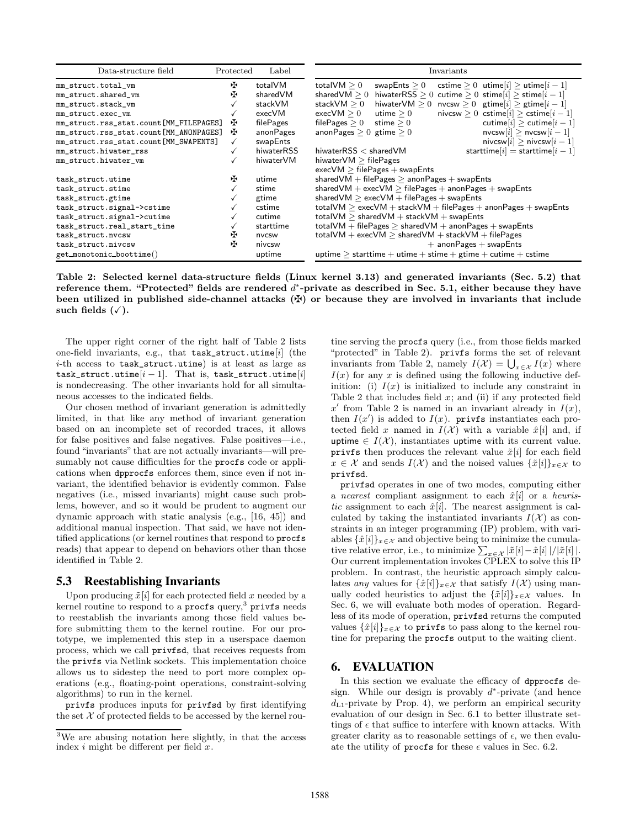| Data-structure field                   | Protected | Label      | Invariants                                                                                  |  |
|----------------------------------------|-----------|------------|---------------------------------------------------------------------------------------------|--|
| mm_struct.total_vm                     | 呸         | totalVM    | total $\mathsf{VM}\geq 0$<br>cstime $> 0$ utime $ i  >$ utime $ i-1 $<br>swapEnts $\geq 0$  |  |
| mm_struct.shared_vm                    | ĐK.       | sharedVM   | shared $VM > 0$<br>hiwaterRSS > 0 cutime > 0 stime[i] > stime[i - 1]                        |  |
| mm_struct.stack_vm                     |           | stackVM    | stack $\mathsf{VM}\geq 0$<br>hiwaterVM $\geq 0$ nvcsw $\geq 0$ gtime[i] $\geq$ gtime[i - 1] |  |
| mm_struct.exec_vm                      |           | execVM     | $execVM \geq 0$<br>nivcsw $> 0$ cstime $[i]$ $>$ cstime $[i-1]$<br>utime $\geq 0$           |  |
| mm_struct.rss_stat.count[MM_FILEPAGES] | 呸         | filePages  | file $\mathsf{Pages} \geq 0$<br>cutime $ i  >$ cutime $ i-1 $<br>stime $\geq 0$             |  |
| mm_struct.rss_stat.count[MM_ANONPAGES] | ÷.        | anonPages  | $nvcsw[i] > nvcsw[i-1]$<br>anonPages $>0$ gtime $>0$                                        |  |
| mm_struct.rss_stat.count[MM_SWAPENTS]  |           | swapEnts   | nivcsw $ i  > n$ ivcsw $ i-1 $                                                              |  |
| mm_struct.hiwater_rss                  |           | hiwaterRSS | starttime $[i]$ = starttime $[i-1]$<br>hiwater $RSS <$ shared $VM$                          |  |
| mm_struct.hiwater_vm                   |           | hiwaterVM  | hiwater $VM > filePages$                                                                    |  |
|                                        |           |            | $execVM$ > filePages + swapEnts                                                             |  |
| task_struct.utime                      | Æ         | utime      | shared VM $+$ file Pages $>$ anon Pages $+$ swap Ents                                       |  |
| task_struct.stime                      |           | stime      | shared VM $+$ exec VM $>$ file Pages $+$ anon Pages $+$ swap Ents                           |  |
| task_struct.gtime                      |           | gtime      | shared VM $>$ exec VM $+$ file Pages $+$ swap Ents                                          |  |
| task_struct.signal->cstime             |           | cstime     | $totalVM > execVM + stackVM + file Pages + anon Pages + swapEnts$                           |  |
| task_struct.signal->cutime             |           | cutime     | total VM $>$ shared VM $+$ stack VM $+$ swap Ents                                           |  |
| task_struct.real_start_time            |           | starttime  | total VM $+$ file Pages $>$ shared VM $+$ anon Pages $+$ swap Ents                          |  |
| task_struct.nvcsw                      |           | nvcsw      | $totalVM + execVM > sharedVM + stackVM + file Pages$                                        |  |
| Æ<br>task_struct.nivcsw                |           | nivcsw     | $+$ anon Pages $+$ swap Ents                                                                |  |
| get_monotonic_boottime()               |           | uptime     | uptime $>$ starttime + utime + stime + gtime + cutime + cstime                              |  |

Table 2: Selected kernel data-structure fields (Linux kernel 3.13) and generated invariants (Sec. 5.2) that reference them. "Protected" fields are rendered  $d^*$ -private as described in Sec. 5.1, either because they have been utilized in published side-channel attacks  $(\maltese)$  or because they are involved in invariants that include such fields  $(\checkmark)$ .

The upper right corner of the right half of Table 2 lists one-field invariants, e.g., that task\_struct.utime[i] (the i-th access to task\_struct.utime) is at least as large as task\_struct.utime $[i - 1]$ . That is, task\_struct.utime $[i]$ is nondecreasing. The other invariants hold for all simultaneous accesses to the indicated fields.

Our chosen method of invariant generation is admittedly limited, in that like any method of invariant generation based on an incomplete set of recorded traces, it allows for false positives and false negatives. False positives—i.e., found "invariants" that are not actually invariants—will presumably not cause difficulties for the procfs code or applications when dpprocfs enforces them, since even if not invariant, the identified behavior is evidently common. False negatives (i.e., missed invariants) might cause such problems, however, and so it would be prudent to augment our dynamic approach with static analysis (e.g., [16, 45]) and additional manual inspection. That said, we have not identified applications (or kernel routines that respond to procfs reads) that appear to depend on behaviors other than those identified in Table 2.

### 5.3 Reestablishing Invariants

Upon producing  $\tilde{x}[i]$  for each protected field x needed by a kernel routine to respond to a  $\mathsf{procs}\,\mathsf{query},^3$   $\mathsf{privfs}\,\mathsf{needs}$ to reestablish the invariants among those field values before submitting them to the kernel routine. For our prototype, we implemented this step in a userspace daemon process, which we call privfsd, that receives requests from the privfs via Netlink sockets. This implementation choice allows us to sidestep the need to port more complex operations (e.g., floating-point operations, constraint-solving algorithms) to run in the kernel.

privfs produces inputs for privfsd by first identifying the set  $X$  of protected fields to be accessed by the kernel routine serving the procfs query (i.e., from those fields marked "protected" in Table 2). privfs forms the set of relevant invariants from Table 2, namely  $I(\mathcal{X}) = \bigcup_{x \in \mathcal{X}} I(x)$  where  $I(x)$  for any x is defined using the following inductive definition: (i)  $I(x)$  is initialized to include any constraint in Table 2 that includes field  $x$ ; and (ii) if any protected field  $x'$  from Table 2 is named in an invariant already in  $I(x)$ , then  $I(x')$  is added to  $I(x)$ . privfs instantiates each protected field x named in  $I(\mathcal{X})$  with a variable  $\hat{x}[i]$  and, if uptime  $\in I(\mathcal{X})$ , instantiates uptime with its current value. privfs then produces the relevant value  $\tilde{x}[i]$  for each field  $x \in \mathcal{X}$  and sends  $I(\mathcal{X})$  and the noised values  $\{\tilde{x}[i]\}_{x \in \mathcal{X}}$  to privfsd.

privfsd operates in one of two modes, computing either a nearest compliant assignment to each  $\hat{x}[i]$  or a heuristic assignment to each  $\hat{x}[i]$ . The nearest assignment is calculated by taking the instantiated invariants  $I(\mathcal{X})$  as constraints in an integer programming (IP) problem, with variables  $\{\hat{x}[i]\}_{x \in \mathcal{X}}$  and objective being to minimize the cumulative relative error, i.e., to minimize  $\sum_{x \in \mathcal{X}} |\tilde{x}[i] - \hat{x}[i]|/|\tilde{x}[i]|$ . Our current implementation invokes CPLEX to solve this IP problem. In contrast, the heuristic approach simply calculates any values for  $\{\hat{x}[i]\}_{x\in\mathcal{X}}$  that satisfy  $I(\mathcal{X})$  using manually coded heuristics to adjust the  $\{\tilde{x}[i]\}_{x\in\mathcal{X}}$  values. In Sec. 6, we will evaluate both modes of operation. Regardless of its mode of operation, privfsd returns the computed values  $\{\hat{x}[i]\}_{x\in\mathcal{X}}$  to privfs to pass along to the kernel routine for preparing the procfs output to the waiting client.

# 6. EVALUATION

In this section we evaluate the efficacy of dpprocfs design. While our design is provably  $d^*$ -private (and hence  $d_{L1}$ -private by Prop. 4), we perform an empirical security evaluation of our design in Sec. 6.1 to better illustrate settings of  $\epsilon$  that suffice to interfere with known attacks. With greater clarity as to reasonable settings of  $\epsilon$ , we then evaluate the utility of procfs for these  $\epsilon$  values in Sec. 6.2.

<sup>3</sup>We are abusing notation here slightly, in that the access index  $i$  might be different per field  $x$ .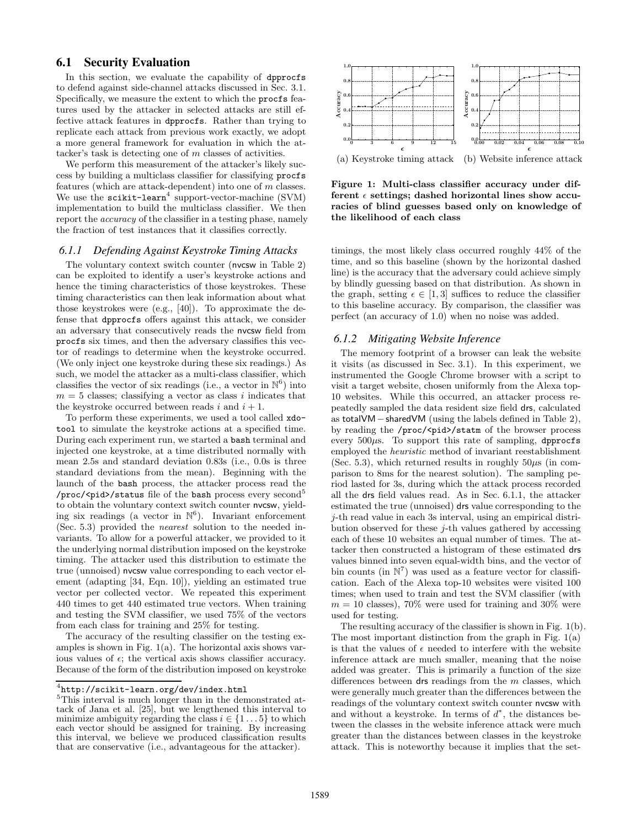# 6.1 Security Evaluation

In this section, we evaluate the capability of dpprocfs to defend against side-channel attacks discussed in Sec. 3.1. Specifically, we measure the extent to which the procfs features used by the attacker in selected attacks are still effective attack features in dpprocfs. Rather than trying to replicate each attack from previous work exactly, we adopt a more general framework for evaluation in which the attacker's task is detecting one of m classes of activities.

We perform this measurement of the attacker's likely success by building a multiclass classifier for classifying procfs features (which are attack-dependent) into one of m classes. We use the  $scikit-learn<sup>4</sup>$  support-vector-machine (SVM) implementation to build the multiclass classifier. We then report the *accuracy* of the classifier in a testing phase, namely the fraction of test instances that it classifies correctly.

#### *6.1.1 Defending Against Keystroke Timing Attacks*

The voluntary context switch counter (nvcsw in Table 2) can be exploited to identify a user's keystroke actions and hence the timing characteristics of those keystrokes. These timing characteristics can then leak information about what those keystrokes were (e.g., [40]). To approximate the defense that dpprocfs offers against this attack, we consider an adversary that consecutively reads the nvcsw field from procfs six times, and then the adversary classifies this vector of readings to determine when the keystroke occurred. (We only inject one keystroke during these six readings.) As such, we model the attacker as a multi-class classifier, which classifies the vector of six readings (i.e., a vector in  $\mathbb{N}^6$ ) into  $m = 5$  classes; classifying a vector as class i indicates that the keystroke occurred between reads i and  $i + 1$ .

To perform these experiments, we used a tool called xdotool to simulate the keystroke actions at a specified time. During each experiment run, we started a bash terminal and injected one keystroke, at a time distributed normally with mean 2.5s and standard deviation 0.83s (i.e., 0.0s is three standard deviations from the mean). Beginning with the launch of the bash process, the attacker process read the /proc/<pid>/status file of the bash process every second<sup>5</sup> to obtain the voluntary context switch counter nvcsw, yielding six readings (a vector in  $\mathbb{N}^6$ ). Invariant enforcement (Sec. 5.3) provided the nearest solution to the needed invariants. To allow for a powerful attacker, we provided to it the underlying normal distribution imposed on the keystroke timing. The attacker used this distribution to estimate the true (unnoised) nvcsw value corresponding to each vector element (adapting [34, Eqn. 10]), yielding an estimated true vector per collected vector. We repeated this experiment 440 times to get 440 estimated true vectors. When training and testing the SVM classifier, we used 75% of the vectors from each class for training and 25% for testing.

The accuracy of the resulting classifier on the testing examples is shown in Fig. 1(a). The horizontal axis shows various values of  $\epsilon$ ; the vertical axis shows classifier accuracy. Because of the form of the distribution imposed on keystroke



(a) Keystroke timing attack (b) Website inference attack

Figure 1: Multi-class classifier accuracy under different  $\epsilon$  settings; dashed horizontal lines show accuracies of blind guesses based only on knowledge of the likelihood of each class

timings, the most likely class occurred roughly 44% of the time, and so this baseline (shown by the horizontal dashed line) is the accuracy that the adversary could achieve simply by blindly guessing based on that distribution. As shown in the graph, setting  $\epsilon \in [1,3]$  suffices to reduce the classifier to this baseline accuracy. By comparison, the classifier was perfect (an accuracy of 1.0) when no noise was added.

#### *6.1.2 Mitigating Website Inference*

The memory footprint of a browser can leak the website it visits (as discussed in Sec. 3.1). In this experiment, we instrumented the Google Chrome browser with a script to visit a target website, chosen uniformly from the Alexa top-10 websites. While this occurred, an attacker process repeatedly sampled the data resident size field drs, calculated as totalVM−sharedVM (using the labels defined in Table 2), by reading the /proc/<pid>/statm of the browser process every  $500\mu s$ . To support this rate of sampling, dpprocfs employed the heuristic method of invariant reestablishment (Sec. 5.3), which returned results in roughly  $50\mu s$  (in comparison to 8ms for the nearest solution). The sampling period lasted for 3s, during which the attack process recorded all the drs field values read. As in Sec. 6.1.1, the attacker estimated the true (unnoised) drs value corresponding to the j-th read value in each 3s interval, using an empirical distribution observed for these j-th values gathered by accessing each of these 10 websites an equal number of times. The attacker then constructed a histogram of these estimated drs values binned into seven equal-width bins, and the vector of bin counts (in  $\mathbb{N}^7$ ) was used as a feature vector for classification. Each of the Alexa top-10 websites were visited 100 times; when used to train and test the SVM classifier (with  $m = 10$  classes), 70% were used for training and 30% were used for testing.

The resulting accuracy of the classifier is shown in Fig. 1(b). The most important distinction from the graph in Fig. 1(a) is that the values of  $\epsilon$  needed to interfere with the website inference attack are much smaller, meaning that the noise added was greater. This is primarily a function of the size differences between  $\textsf{drs}$  readings from the m classes, which were generally much greater than the differences between the readings of the voluntary context switch counter nvcsw with and without a keystroke. In terms of  $d^*$ , the distances between the classes in the website inference attack were much greater than the distances between classes in the keystroke attack. This is noteworthy because it implies that the set-

 $^4$ http://scikit-learn.org/dev/index.html

<sup>5</sup>This interval is much longer than in the demonstrated attack of Jana et al. [25], but we lengthened this interval to minimize ambiguity regarding the class  $i \in \{1 \dots 5\}$  to which each vector should be assigned for training. By increasing this interval, we believe we produced classification results that are conservative (i.e., advantageous for the attacker).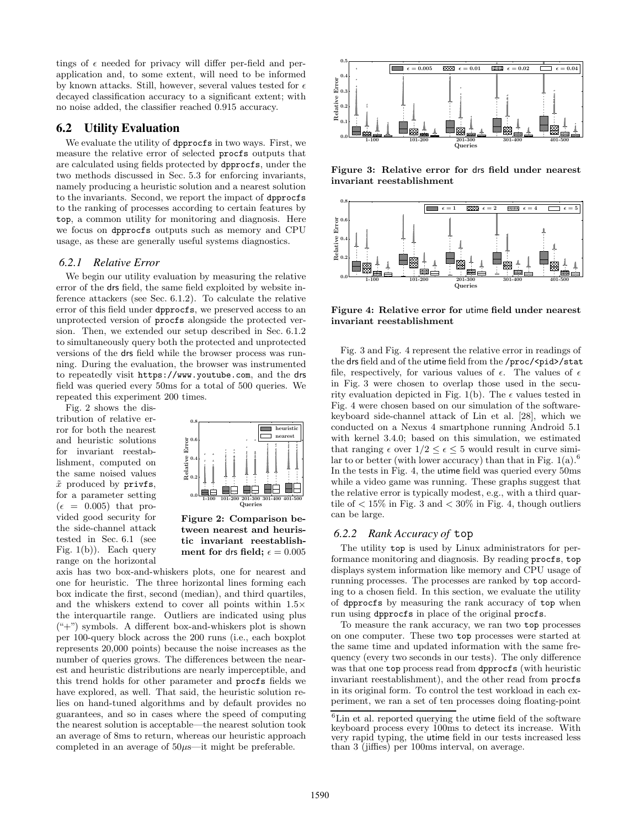tings of  $\epsilon$  needed for privacy will differ per-field and perapplication and, to some extent, will need to be informed by known attacks. Still, however, several values tested for  $\epsilon$ decayed classification accuracy to a significant extent; with no noise added, the classifier reached 0.915 accuracy.

#### 6.2 Utility Evaluation

We evaluate the utility of dpprocfs in two ways. First, we measure the relative error of selected procfs outputs that are calculated using fields protected by dpprocfs, under the two methods discussed in Sec. 5.3 for enforcing invariants, namely producing a heuristic solution and a nearest solution to the invariants. Second, we report the impact of dpprocfs to the ranking of processes according to certain features by top, a common utility for monitoring and diagnosis. Here we focus on dpprocfs outputs such as memory and CPU usage, as these are generally useful systems diagnostics.

#### *6.2.1 Relative Error*

We begin our utility evaluation by measuring the relative error of the drs field, the same field exploited by website inference attackers (see Sec. 6.1.2). To calculate the relative error of this field under dpprocfs, we preserved access to an unprotected version of procfs alongside the protected version. Then, we extended our setup described in Sec. 6.1.2 to simultaneously query both the protected and unprotected versions of the drs field while the browser process was running. During the evaluation, the browser was instrumented to repeatedly visit https://www.youtube.com, and the drs field was queried every 50ms for a total of 500 queries. We repeated this experiment 200 times.

Fig. 2 shows the distribution of relative error for both the nearest and heuristic solutions for invariant reestablishment, computed on the same noised values  $\tilde{x}$  produced by privfs, for a parameter setting  $(\epsilon = 0.005)$  that provided good security for the side-channel attack tested in Sec. 6.1 (see Fig. 1(b)). Each query range on the horizontal



Figure 2: Comparison between nearest and heuristic invariant reestablishment for drs field;  $\epsilon = 0.005$ 

axis has two box-and-whiskers plots, one for nearest and one for heuristic. The three horizontal lines forming each box indicate the first, second (median), and third quartiles, and the whiskers extend to cover all points within 1.5× the interquartile range. Outliers are indicated using plus  $($ "+") symbols. A different box-and-whiskers plot is shown per 100-query block across the 200 runs (i.e., each boxplot represents 20,000 points) because the noise increases as the number of queries grows. The differences between the nearest and heuristic distributions are nearly imperceptible, and this trend holds for other parameter and procfs fields we have explored, as well. That said, the heuristic solution relies on hand-tuned algorithms and by default provides no guarantees, and so in cases where the speed of computing the nearest solution is acceptable—the nearest solution took an average of 8ms to return, whereas our heuristic approach completed in an average of  $50\mu s$ —it might be preferable.



Figure 3: Relative error for drs field under nearest invariant reestablishment



Figure 4: Relative error for utime field under nearest invariant reestablishment

Fig. 3 and Fig. 4 represent the relative error in readings of the drs field and of the utime field from the /proc/<pid>/stat file, respectively, for various values of  $\epsilon$ . The values of  $\epsilon$ in Fig. 3 were chosen to overlap those used in the security evaluation depicted in Fig. 1(b). The  $\epsilon$  values tested in Fig. 4 were chosen based on our simulation of the softwarekeyboard side-channel attack of Lin et al. [28], which we conducted on a Nexus 4 smartphone running Android 5.1 with kernel 3.4.0; based on this simulation, we estimated that ranging  $\epsilon$  over  $1/2 \leq \epsilon \leq 5$  would result in curve similar to or better (with lower accuracy) than that in Fig.  $1(a)$ .<sup>6</sup> In the tests in Fig. 4, the utime field was queried every 50ms while a video game was running. These graphs suggest that the relative error is typically modest, e.g., with a third quartile of  $\langle 15\% \rangle$  in Fig. 3 and  $\langle 30\% \rangle$  in Fig. 4, though outliers can be large.

#### *6.2.2 Rank Accuracy of* top

The utility top is used by Linux administrators for performance monitoring and diagnosis. By reading procfs, top displays system information like memory and CPU usage of running processes. The processes are ranked by top according to a chosen field. In this section, we evaluate the utility of dpprocfs by measuring the rank accuracy of top when run using dpprocfs in place of the original procfs.

To measure the rank accuracy, we ran two top processes on one computer. These two top processes were started at the same time and updated information with the same frequency (every two seconds in our tests). The only difference was that one top process read from dpprocfs (with heuristic invariant reestablishment), and the other read from procfs in its original form. To control the test workload in each experiment, we ran a set of ten processes doing floating-point

 ${}^{6}$ Lin et al. reported querying the utime field of the software keyboard process every 100ms to detect its increase. With very rapid typing, the utime field in our tests increased less than 3 (jiffies) per 100ms interval, on average.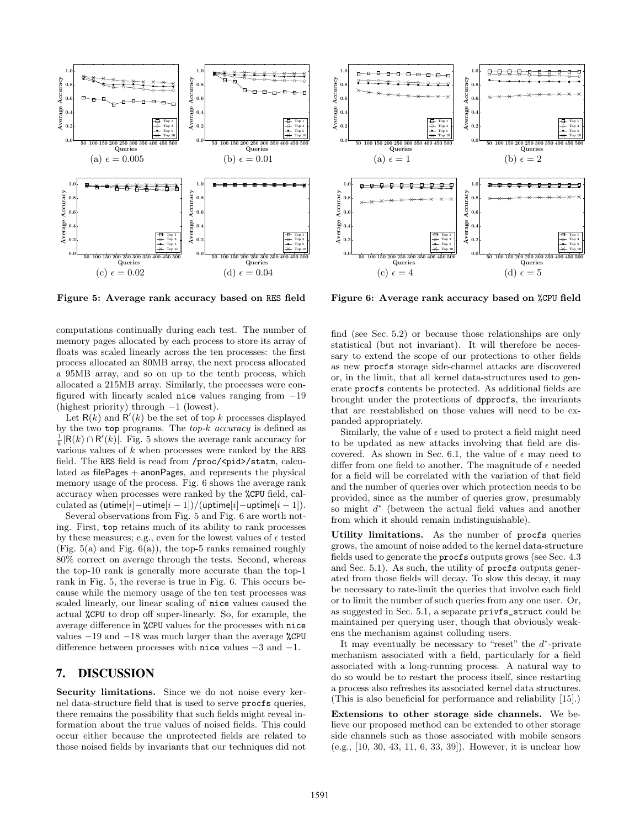

Figure 5: Average rank accuracy based on RES field

computations continually during each test. The number of memory pages allocated by each process to store its array of floats was scaled linearly across the ten processes: the first process allocated an 80MB array, the next process allocated a 95MB array, and so on up to the tenth process, which allocated a 215MB array. Similarly, the processes were configured with linearly scaled nice values ranging from −19 (highest priority) through −1 (lowest).

Let  $R(k)$  and  $R'(k)$  be the set of top k processes displayed by the two top programs. The  $top-k$  accuracy is defined as  $\frac{1}{k}$ |R(k) ∩ R'(k)|. Fig. 5 shows the average rank accuracy for various values of  $k$  when processes were ranked by the RES field. The RES field is read from /proc/<pid>/statm, calculated as filePages + anonPages, and represents the physical memory usage of the process. Fig. 6 shows the average rank accuracy when processes were ranked by the %CPU field, calculated as  $(\text{utime}[i] - \text{utime}[i - 1])/(\text{uptime}[i] - \text{uptime}[i - 1]).$ 

Several observations from Fig. 5 and Fig. 6 are worth noting. First, top retains much of its ability to rank processes by these measures; e.g., even for the lowest values of  $\epsilon$  tested (Fig.  $5(a)$  and Fig.  $6(a)$ ), the top-5 ranks remained roughly 80% correct on average through the tests. Second, whereas the top-10 rank is generally more accurate than the top-1 rank in Fig. 5, the reverse is true in Fig. 6. This occurs because while the memory usage of the ten test processes was scaled linearly, our linear scaling of nice values caused the actual %CPU to drop off super-linearly. So, for example, the average difference in %CPU values for the processes with nice values −19 and −18 was much larger than the average %CPU difference between processes with nice values −3 and −1.

# 7. DISCUSSION

Security limitations. Since we do not noise every kernel data-structure field that is used to serve procfs queries, there remains the possibility that such fields might reveal information about the true values of noised fields. This could occur either because the unprotected fields are related to those noised fields by invariants that our techniques did not



Figure 6: Average rank accuracy based on %CPU field

find (see Sec. 5.2) or because those relationships are only statistical (but not invariant). It will therefore be necessary to extend the scope of our protections to other fields as new procfs storage side-channel attacks are discovered or, in the limit, that all kernel data-structures used to generate procfs contents be protected. As additional fields are brought under the protections of dpprocfs, the invariants that are reestablished on those values will need to be expanded appropriately.

Similarly, the value of  $\epsilon$  used to protect a field might need to be updated as new attacks involving that field are discovered. As shown in Sec. 6.1, the value of  $\epsilon$  may need to differ from one field to another. The magnitude of  $\epsilon$  needed for a field will be correlated with the variation of that field and the number of queries over which protection needs to be provided, since as the number of queries grow, presumably so might  $d^*$  (between the actual field values and another from which it should remain indistinguishable).

Utility limitations. As the number of procfs queries grows, the amount of noise added to the kernel data-structure fields used to generate the procfs outputs grows (see Sec. 4.3 and Sec. 5.1). As such, the utility of procfs outputs generated from those fields will decay. To slow this decay, it may be necessary to rate-limit the queries that involve each field or to limit the number of such queries from any one user. Or, as suggested in Sec. 5.1, a separate privfs\_struct could be maintained per querying user, though that obviously weakens the mechanism against colluding users.

It may eventually be necessary to "reset" the  $d^*$ -private mechanism associated with a field, particularly for a field associated with a long-running process. A natural way to do so would be to restart the process itself, since restarting a process also refreshes its associated kernel data structures. (This is also beneficial for performance and reliability [15].)

Extensions to other storage side channels. We believe our proposed method can be extended to other storage side channels such as those associated with mobile sensors (e.g., [10, 30, 43, 11, 6, 33, 39]). However, it is unclear how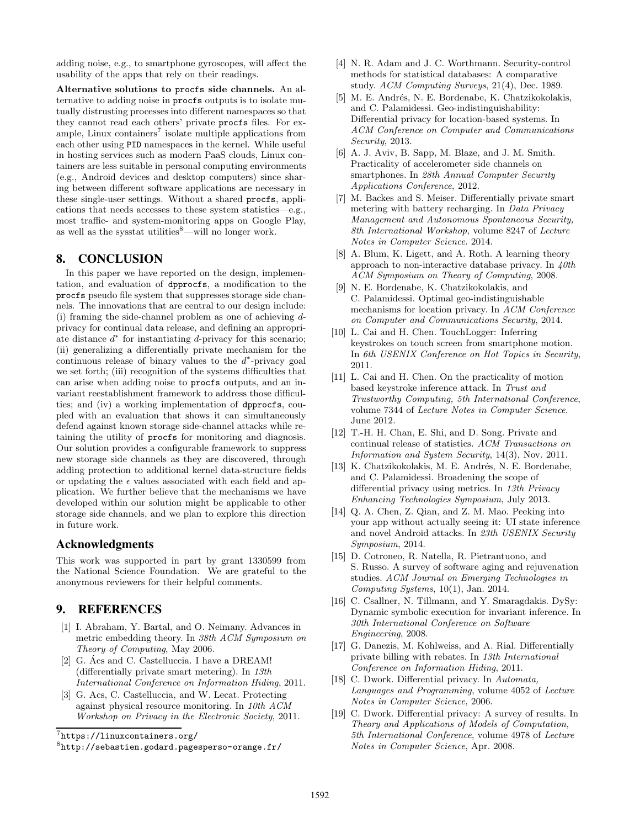adding noise, e.g., to smartphone gyroscopes, will affect the usability of the apps that rely on their readings.

Alternative solutions to procfs side channels. An alternative to adding noise in procfs outputs is to isolate mutually distrusting processes into different namespaces so that they cannot read each others' private procfs files. For example, Linux containers<sup>7</sup> isolate multiple applications from each other using PID namespaces in the kernel. While useful in hosting services such as modern PaaS clouds, Linux containers are less suitable in personal computing environments (e.g., Android devices and desktop computers) since sharing between different software applications are necessary in these single-user settings. Without a shared procfs, applications that needs accesses to these system statistics—e.g., most traffic- and system-monitoring apps on Google Play, as well as the sysstat utilities $\text{8}$ —will no longer work.

# 8. CONCLUSION

In this paper we have reported on the design, implementation, and evaluation of dpprocfs, a modification to the procfs pseudo file system that suppresses storage side channels. The innovations that are central to our design include: (i) framing the side-channel problem as one of achieving dprivacy for continual data release, and defining an appropriate distance  $d^*$  for instantiating  $d$ -privacy for this scenario; (ii) generalizing a differentially private mechanism for the continuous release of binary values to the  $d^*$ -privacy goal we set forth; (iii) recognition of the systems difficulties that can arise when adding noise to procfs outputs, and an invariant reestablishment framework to address those difficulties; and (iv) a working implementation of dpprocfs, coupled with an evaluation that shows it can simultaneously defend against known storage side-channel attacks while retaining the utility of procfs for monitoring and diagnosis. Our solution provides a configurable framework to suppress new storage side channels as they are discovered, through adding protection to additional kernel data-structure fields or updating the  $\epsilon$  values associated with each field and application. We further believe that the mechanisms we have developed within our solution might be applicable to other storage side channels, and we plan to explore this direction in future work.

#### Acknowledgments

This work was supported in part by grant 1330599 from the National Science Foundation. We are grateful to the anonymous reviewers for their helpful comments.

# 9. REFERENCES

- [1] I. Abraham, Y. Bartal, and O. Neimany. Advances in metric embedding theory. In 38th ACM Symposium on Theory of Computing, May 2006.
- [2] G. Acs and C. Castelluccia. I have a DREAM! (differentially private smart metering). In 13th International Conference on Information Hiding, 2011.
- [3] G. Acs, C. Castelluccia, and W. Lecat. Protecting against physical resource monitoring. In 10th ACM Workshop on Privacy in the Electronic Society, 2011.
- [4] N. R. Adam and J. C. Worthmann. Security-control methods for statistical databases: A comparative study. ACM Computing Surveys, 21(4), Dec. 1989.
- [5] M. E. Andrés, N. E. Bordenabe, K. Chatzikokolakis, and C. Palamidessi. Geo-indistinguishability: Differential privacy for location-based systems. In ACM Conference on Computer and Communications Security, 2013.
- [6] A. J. Aviv, B. Sapp, M. Blaze, and J. M. Smith. Practicality of accelerometer side channels on smartphones. In 28th Annual Computer Security Applications Conference, 2012.
- [7] M. Backes and S. Meiser. Differentially private smart metering with battery recharging. In Data Privacy Management and Autonomous Spontaneous Security, 8th International Workshop, volume 8247 of Lecture Notes in Computer Science. 2014.
- [8] A. Blum, K. Ligett, and A. Roth. A learning theory approach to non-interactive database privacy. In  $40th$ ACM Symposium on Theory of Computing, 2008.
- [9] N. E. Bordenabe, K. Chatzikokolakis, and C. Palamidessi. Optimal geo-indistinguishable mechanisms for location privacy. In ACM Conference on Computer and Communications Security, 2014.
- [10] L. Cai and H. Chen. TouchLogger: Inferring keystrokes on touch screen from smartphone motion. In 6th USENIX Conference on Hot Topics in Security, 2011.
- [11] L. Cai and H. Chen. On the practicality of motion based keystroke inference attack. In Trust and Trustworthy Computing, 5th International Conference, volume 7344 of Lecture Notes in Computer Science. June 2012.
- [12] T.-H. H. Chan, E. Shi, and D. Song. Private and continual release of statistics. ACM Transactions on Information and System Security, 14(3), Nov. 2011.
- [13] K. Chatzikokolakis, M. E. Andrés, N. E. Bordenabe, and C. Palamidessi. Broadening the scope of differential privacy using metrics. In 13th Privacy Enhancing Technologies Symposium, July 2013.
- [14] Q. A. Chen, Z. Qian, and Z. M. Mao. Peeking into your app without actually seeing it: UI state inference and novel Android attacks. In 23th USENIX Security Symposium, 2014.
- [15] D. Cotroneo, R. Natella, R. Pietrantuono, and S. Russo. A survey of software aging and rejuvenation studies. ACM Journal on Emerging Technologies in Computing Systems, 10(1), Jan. 2014.
- [16] C. Csallner, N. Tillmann, and Y. Smaragdakis. DySy: Dynamic symbolic execution for invariant inference. In 30th International Conference on Software Engineering, 2008.
- [17] G. Danezis, M. Kohlweiss, and A. Rial. Differentially private billing with rebates. In 13th International Conference on Information Hiding, 2011.
- [18] C. Dwork. Differential privacy. In Automata, Languages and Programming, volume 4052 of Lecture Notes in Computer Science, 2006.
- [19] C. Dwork. Differential privacy: A survey of results. In Theory and Applications of Models of Computation, 5th International Conference, volume 4978 of Lecture Notes in Computer Science, Apr. 2008.

<sup>7</sup> https://linuxcontainers.org/

<sup>8</sup> http://sebastien.godard.pagesperso-orange.fr/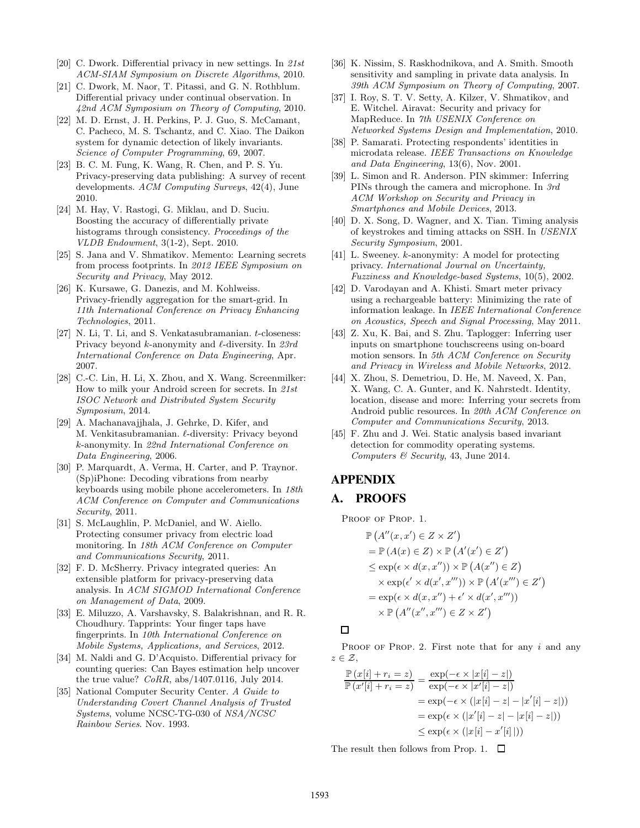- [20] C. Dwork. Differential privacy in new settings. In 21st ACM-SIAM Symposium on Discrete Algorithms, 2010.
- [21] C. Dwork, M. Naor, T. Pitassi, and G. N. Rothblum. Differential privacy under continual observation. In 42nd ACM Symposium on Theory of Computing, 2010.
- [22] M. D. Ernst, J. H. Perkins, P. J. Guo, S. McCamant, C. Pacheco, M. S. Tschantz, and C. Xiao. The Daikon system for dynamic detection of likely invariants. Science of Computer Programming, 69, 2007.
- [23] B. C. M. Fung, K. Wang, R. Chen, and P. S. Yu. Privacy-preserving data publishing: A survey of recent developments. ACM Computing Surveys, 42(4), June 2010.
- [24] M. Hay, V. Rastogi, G. Miklau, and D. Suciu. Boosting the accuracy of differentially private histograms through consistency. Proceedings of the VLDB Endowment, 3(1-2), Sept. 2010.
- [25] S. Jana and V. Shmatikov. Memento: Learning secrets from process footprints. In 2012 IEEE Symposium on Security and Privacy, May 2012.
- [26] K. Kursawe, G. Danezis, and M. Kohlweiss. Privacy-friendly aggregation for the smart-grid. In 11th International Conference on Privacy Enhancing Technologies, 2011.
- [27] N. Li, T. Li, and S. Venkatasubramanian. t-closeness: Privacy beyond  $k$ -anonymity and  $\ell$ -diversity. In 23rd International Conference on Data Engineering, Apr. 2007.
- [28] C.-C. Lin, H. Li, X. Zhou, and X. Wang. Screenmilker: How to milk your Android screen for secrets. In 21st ISOC Network and Distributed System Security Symposium, 2014.
- [29] A. Machanavajjhala, J. Gehrke, D. Kifer, and M. Venkitasubramanian. ℓ-diversity: Privacy beyond k-anonymity. In 22nd International Conference on Data Engineering, 2006.
- [30] P. Marquardt, A. Verma, H. Carter, and P. Traynor. (Sp)iPhone: Decoding vibrations from nearby keyboards using mobile phone accelerometers. In 18th ACM Conference on Computer and Communications Security, 2011.
- [31] S. McLaughlin, P. McDaniel, and W. Aiello. Protecting consumer privacy from electric load monitoring. In 18th ACM Conference on Computer and Communications Security, 2011.
- [32] F. D. McSherry. Privacy integrated queries: An extensible platform for privacy-preserving data analysis. In ACM SIGMOD International Conference on Management of Data, 2009.
- [33] E. Miluzzo, A. Varshavsky, S. Balakrishnan, and R. R. Choudhury. Tapprints: Your finger taps have fingerprints. In 10th International Conference on Mobile Systems, Applications, and Services, 2012.
- [34] M. Naldi and G. D'Acquisto. Differential privacy for counting queries: Can Bayes estimation help uncover the true value?  $CoRR$ , abs/1407.0116, July 2014.
- [35] National Computer Security Center. A Guide to Understanding Covert Channel Analysis of Trusted Systems, volume NCSC-TG-030 of NSA/NCSC Rainbow Series. Nov. 1993.
- [36] K. Nissim, S. Raskhodnikova, and A. Smith. Smooth sensitivity and sampling in private data analysis. In 39th ACM Symposium on Theory of Computing, 2007.
- [37] I. Roy, S. T. V. Setty, A. Kilzer, V. Shmatikov, and E. Witchel. Airavat: Security and privacy for MapReduce. In 7th USENIX Conference on Networked Systems Design and Implementation, 2010.
- [38] P. Samarati. Protecting respondents' identities in microdata release. IEEE Transactions on Knowledge and Data Engineering, 13(6), Nov. 2001.
- [39] L. Simon and R. Anderson. PIN skimmer: Inferring PINs through the camera and microphone. In 3rd ACM Workshop on Security and Privacy in Smartphones and Mobile Devices, 2013.
- [40] D. X. Song, D. Wagner, and X. Tian. Timing analysis of keystrokes and timing attacks on SSH. In USENIX Security Symposium, 2001.
- [41] L. Sweeney. k-anonymity: A model for protecting privacy. International Journal on Uncertainty, Fuzziness and Knowledge-based Systems, 10(5), 2002.
- [42] D. Varodayan and A. Khisti. Smart meter privacy using a rechargeable battery: Minimizing the rate of information leakage. In IEEE International Conference on Acoustics, Speech and Signal Processing, May 2011.
- [43] Z. Xu, K. Bai, and S. Zhu. Taplogger: Inferring user inputs on smartphone touchscreens using on-board motion sensors. In 5th ACM Conference on Security and Privacy in Wireless and Mobile Networks, 2012.
- [44] X. Zhou, S. Demetriou, D. He, M. Naveed, X. Pan, X. Wang, C. A. Gunter, and K. Nahrstedt. Identity, location, disease and more: Inferring your secrets from Android public resources. In 20th ACM Conference on Computer and Communications Security, 2013.
- [45] F. Zhu and J. Wei. Static analysis based invariant detection for commodity operating systems. Computers & Security, 43, June 2014.

# APPENDIX

# A. PROOFS

PROOF OF PROP. 1.

$$
\mathbb{P}\left(A''(x, x') \in Z \times Z'\right) \n= \mathbb{P}\left(A(x) \in Z\right) \times \mathbb{P}\left(A'(x') \in Z'\right) \n\leq \exp(\epsilon \times d(x, x'')) \times \mathbb{P}\left(A(x'') \in Z\right) \n\times \exp(\epsilon' \times d(x', x''')) \times \mathbb{P}\left(A'(x''') \in Z'\right) \n= \exp(\epsilon \times d(x, x'') + \epsilon' \times d(x', x''')) \n\times \mathbb{P}\left(A''(x'', x''') \in Z \times Z'\right)
$$

# $\Box$

PROOF OF PROP. 2. First note that for any  $i$  and any  $z \in \mathcal{Z}$ ,

$$
\frac{\mathbb{P}\left(x[i] + r_i = z\right)}{\mathbb{P}\left(x'[i] + r_i = z\right)} = \frac{\exp(-\epsilon \times |x[i] - z|)}{\exp(-\epsilon \times |x'[i] - z|)}
$$
\n
$$
= \exp(-\epsilon \times (|x[i] - z| - |x'[i] - z|))
$$
\n
$$
= \exp(\epsilon \times (|x'[i] - z| - |x[i] - z|))
$$
\n
$$
\leq \exp(\epsilon \times (|x[i] - x'[i]|))
$$

The result then follows from Prop. 1.  $\Box$